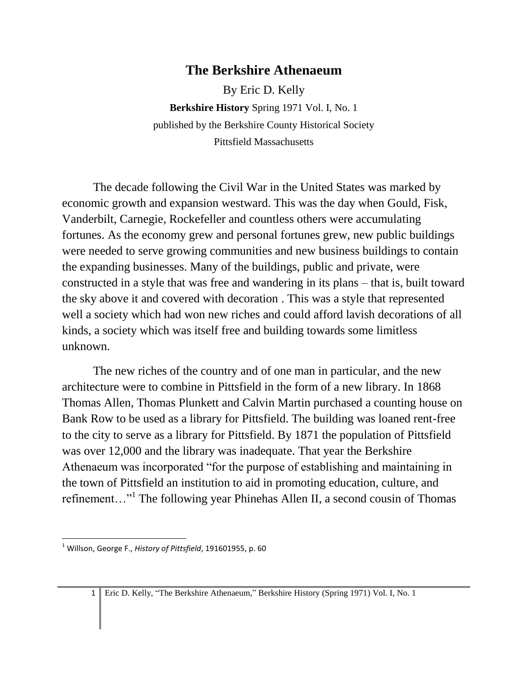## **The Berkshire Athenaeum**

By Eric D. Kelly **Berkshire History** Spring 1971 Vol. I, No. 1 published by the Berkshire County Historical Society Pittsfield Massachusetts

The decade following the Civil War in the United States was marked by economic growth and expansion westward. This was the day when Gould, Fisk, Vanderbilt, Carnegie, Rockefeller and countless others were accumulating fortunes. As the economy grew and personal fortunes grew, new public buildings were needed to serve growing communities and new business buildings to contain the expanding businesses. Many of the buildings, public and private, were constructed in a style that was free and wandering in its plans – that is, built toward the sky above it and covered with decoration . This was a style that represented well a society which had won new riches and could afford lavish decorations of all kinds, a society which was itself free and building towards some limitless unknown.

The new riches of the country and of one man in particular, and the new architecture were to combine in Pittsfield in the form of a new library. In 1868 Thomas Allen, Thomas Plunkett and Calvin Martin purchased a counting house on Bank Row to be used as a library for Pittsfield. The building was loaned rent-free to the city to serve as a library for Pittsfield. By 1871 the population of Pittsfield was over 12,000 and the library was inadequate. That year the Berkshire Athenaeum was incorporated "for the purpose of establishing and maintaining in the town of Pittsfield an institution to aid in promoting education, culture, and refinement..."<sup>1</sup> The following year Phinehas Allen II, a second cousin of Thomas

 $\overline{a}$ 

<sup>1</sup> Willson, George F., *History of Pittsfield*, 191601955, p. 60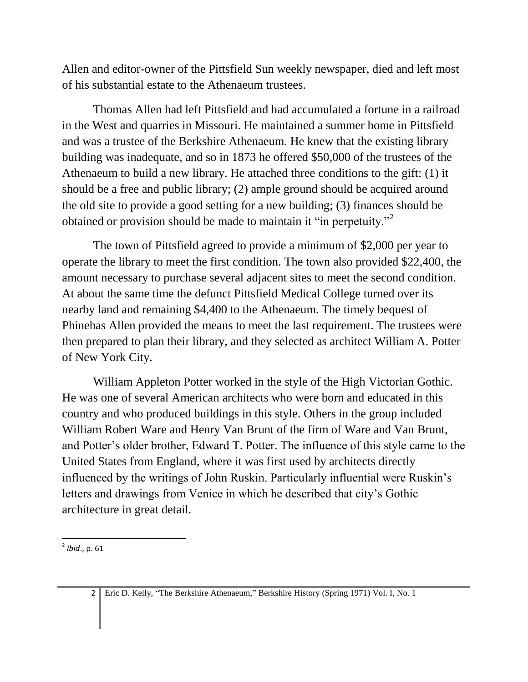Allen and editor-owner of the Pittsfield Sun weekly newspaper, died and left most of his substantial estate to the Athenaeum trustees.

Thomas Allen had left Pittsfield and had accumulated a fortune in a railroad in the West and quarries in Missouri. He maintained a summer home in Pittsfield and was a trustee of the Berkshire Athenaeum. He knew that the existing library building was inadequate, and so in 1873 he offered \$50,000 of the trustees of the Athenaeum to build a new library. He attached three conditions to the gift: (1) it should be a free and public library; (2) ample ground should be acquired around the old site to provide a good setting for a new building; (3) finances should be obtained or provision should be made to maintain it "in perpetuity."<sup>2</sup>

The town of Pittsfield agreed to provide a minimum of \$2,000 per year to operate the library to meet the first condition. The town also provided \$22,400, the amount necessary to purchase several adjacent sites to meet the second condition. At about the same time the defunct Pittsfield Medical College turned over its nearby land and remaining \$4,400 to the Athenaeum. The timely bequest of Phinehas Allen provided the means to meet the last requirement. The trustees were then prepared to plan their library, and they selected as architect William A. Potter of New York City.

William Appleton Potter worked in the style of the High Victorian Gothic. He was one of several American architects who were born and educated in this country and who produced buildings in this style. Others in the group included William Robert Ware and Henry Van Brunt of the firm of Ware and Van Brunt, and Potter's older brother, Edward T. Potter. The influence of this style came to the United States from England, where it was first used by architects directly influenced by the writings of John Ruskin. Particularly influential were Ruskin's letters and drawings from Venice in which he described that city's Gothic architecture in great detail.

 2 *Ibid*., p. 61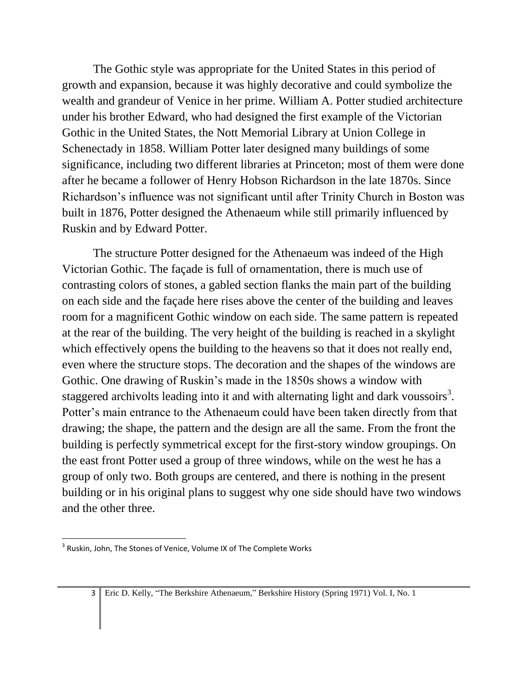The Gothic style was appropriate for the United States in this period of growth and expansion, because it was highly decorative and could symbolize the wealth and grandeur of Venice in her prime. William A. Potter studied architecture under his brother Edward, who had designed the first example of the Victorian Gothic in the United States, the Nott Memorial Library at Union College in Schenectady in 1858. William Potter later designed many buildings of some significance, including two different libraries at Princeton; most of them were done after he became a follower of Henry Hobson Richardson in the late 1870s. Since Richardson's influence was not significant until after Trinity Church in Boston was built in 1876, Potter designed the Athenaeum while still primarily influenced by Ruskin and by Edward Potter.

The structure Potter designed for the Athenaeum was indeed of the High Victorian Gothic. The façade is full of ornamentation, there is much use of contrasting colors of stones, a gabled section flanks the main part of the building on each side and the façade here rises above the center of the building and leaves room for a magnificent Gothic window on each side. The same pattern is repeated at the rear of the building. The very height of the building is reached in a skylight which effectively opens the building to the heavens so that it does not really end, even where the structure stops. The decoration and the shapes of the windows are Gothic. One drawing of Ruskin's made in the 1850s shows a window with staggered archivolts leading into it and with alternating light and dark voussoirs<sup>3</sup>. Potter's main entrance to the Athenaeum could have been taken directly from that drawing; the shape, the pattern and the design are all the same. From the front the building is perfectly symmetrical except for the first-story window groupings. On the east front Potter used a group of three windows, while on the west he has a group of only two. Both groups are centered, and there is nothing in the present building or in his original plans to suggest why one side should have two windows and the other three.

 $\overline{a}$ 

 $^3$  Ruskin, John, The Stones of Venice, Volume IX of The Complete Works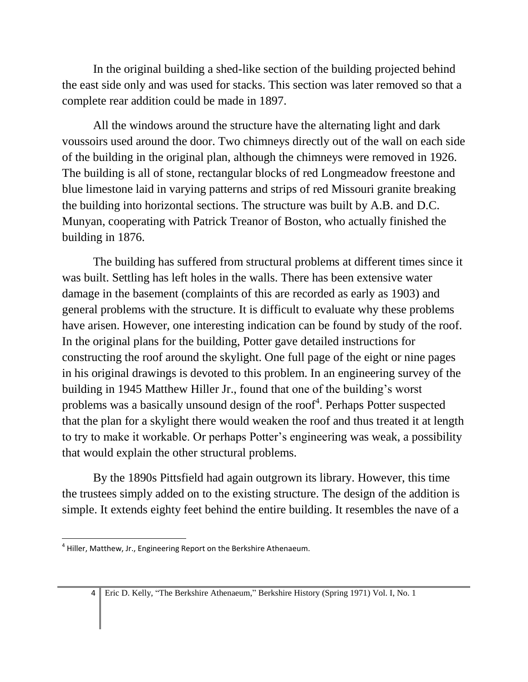In the original building a shed-like section of the building projected behind the east side only and was used for stacks. This section was later removed so that a complete rear addition could be made in 1897.

All the windows around the structure have the alternating light and dark voussoirs used around the door. Two chimneys directly out of the wall on each side of the building in the original plan, although the chimneys were removed in 1926. The building is all of stone, rectangular blocks of red Longmeadow freestone and blue limestone laid in varying patterns and strips of red Missouri granite breaking the building into horizontal sections. The structure was built by A.B. and D.C. Munyan, cooperating with Patrick Treanor of Boston, who actually finished the building in 1876.

The building has suffered from structural problems at different times since it was built. Settling has left holes in the walls. There has been extensive water damage in the basement (complaints of this are recorded as early as 1903) and general problems with the structure. It is difficult to evaluate why these problems have arisen. However, one interesting indication can be found by study of the roof. In the original plans for the building, Potter gave detailed instructions for constructing the roof around the skylight. One full page of the eight or nine pages in his original drawings is devoted to this problem. In an engineering survey of the building in 1945 Matthew Hiller Jr., found that one of the building's worst problems was a basically unsound design of the roof<sup>4</sup>. Perhaps Potter suspected that the plan for a skylight there would weaken the roof and thus treated it at length to try to make it workable. Or perhaps Potter's engineering was weak, a possibility that would explain the other structural problems.

By the 1890s Pittsfield had again outgrown its library. However, this time the trustees simply added on to the existing structure. The design of the addition is simple. It extends eighty feet behind the entire building. It resembles the nave of a

 $\overline{a}$ <sup>4</sup> Hiller, Matthew, Jr., Engineering Report on the Berkshire Athenaeum.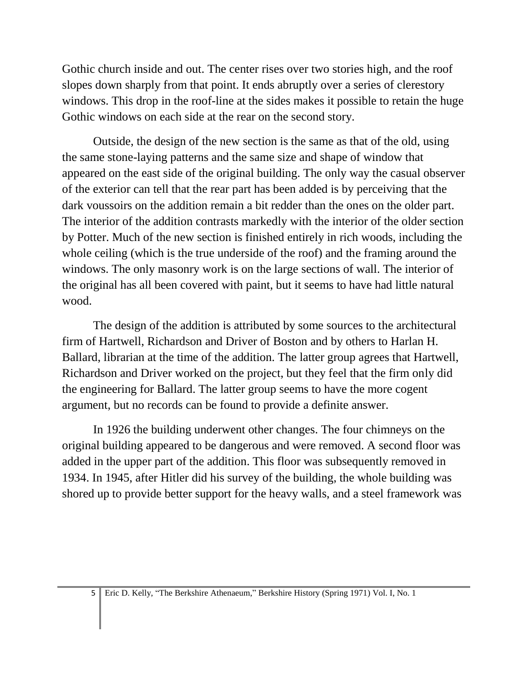Gothic church inside and out. The center rises over two stories high, and the roof slopes down sharply from that point. It ends abruptly over a series of clerestory windows. This drop in the roof-line at the sides makes it possible to retain the huge Gothic windows on each side at the rear on the second story.

Outside, the design of the new section is the same as that of the old, using the same stone-laying patterns and the same size and shape of window that appeared on the east side of the original building. The only way the casual observer of the exterior can tell that the rear part has been added is by perceiving that the dark voussoirs on the addition remain a bit redder than the ones on the older part. The interior of the addition contrasts markedly with the interior of the older section by Potter. Much of the new section is finished entirely in rich woods, including the whole ceiling (which is the true underside of the roof) and the framing around the windows. The only masonry work is on the large sections of wall. The interior of the original has all been covered with paint, but it seems to have had little natural wood.

The design of the addition is attributed by some sources to the architectural firm of Hartwell, Richardson and Driver of Boston and by others to Harlan H. Ballard, librarian at the time of the addition. The latter group agrees that Hartwell, Richardson and Driver worked on the project, but they feel that the firm only did the engineering for Ballard. The latter group seems to have the more cogent argument, but no records can be found to provide a definite answer.

In 1926 the building underwent other changes. The four chimneys on the original building appeared to be dangerous and were removed. A second floor was added in the upper part of the addition. This floor was subsequently removed in 1934. In 1945, after Hitler did his survey of the building, the whole building was shored up to provide better support for the heavy walls, and a steel framework was